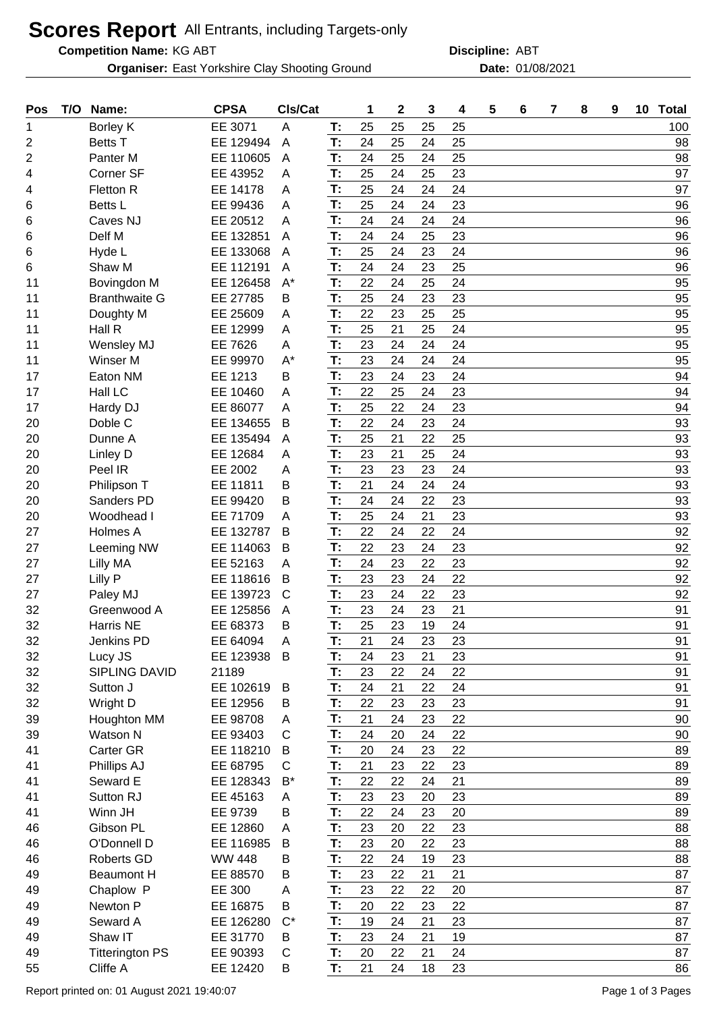## **Scores Report** All Entrants, including Targets-only

**Competition Name:**

**Organiser:** East Yorkshire Clay Shooting Ground **Date:** 01/08/2021

KG ABT ABT **Discipline:**

| Pos | T/O | Name:                  | <b>CPSA</b>   | CIs/Cat |    | 1  | $\mathbf 2$ | 3  | 4  | 5 | 6 | 7 | 8 | 9 | 10 <sup>°</sup> | <b>Total</b> |
|-----|-----|------------------------|---------------|---------|----|----|-------------|----|----|---|---|---|---|---|-----------------|--------------|
| 1   |     | Borley K               | EE 3071       | A       | T: | 25 | 25          | 25 | 25 |   |   |   |   |   |                 | 100          |
| 2   |     | <b>Betts T</b>         | EE 129494     | A       | T: | 24 | 25          | 24 | 25 |   |   |   |   |   |                 | 98           |
| 2   |     | Panter <sub>M</sub>    | EE 110605     | A       | T: | 24 | 25          | 24 | 25 |   |   |   |   |   |                 | 98           |
| 4   |     | Corner SF              | EE 43952      | A       | T: | 25 | 24          | 25 | 23 |   |   |   |   |   |                 | 97           |
| 4   |     | Fletton R              | EE 14178      | A       | T: | 25 | 24          | 24 | 24 |   |   |   |   |   |                 | 97           |
| 6   |     | Betts L                | EE 99436      | A       | T: | 25 | 24          | 24 | 23 |   |   |   |   |   |                 | 96           |
| 6   |     | Caves NJ               | EE 20512      | A       | T: | 24 | 24          | 24 | 24 |   |   |   |   |   |                 | 96           |
| 6   |     | Delf M                 | EE 132851     | A       | T: | 24 | 24          | 25 | 23 |   |   |   |   |   |                 | 96           |
| 6   |     | Hyde L                 | EE 133068     | A       | T: | 25 | 24          | 23 | 24 |   |   |   |   |   |                 | 96           |
| 6   |     | Shaw M                 | EE 112191     | A       | T: | 24 | 24          | 23 | 25 |   |   |   |   |   |                 | 96           |
| 11  |     | Bovingdon M            | EE 126458     | $A^*$   | T: | 22 | 24          | 25 | 24 |   |   |   |   |   |                 | 95           |
| 11  |     | <b>Branthwaite G</b>   | EE 27785      | В       | T: | 25 | 24          | 23 | 23 |   |   |   |   |   |                 | 95           |
| 11  |     | Doughty M              | EE 25609      | Α       | T: | 22 | 23          | 25 | 25 |   |   |   |   |   |                 | 95           |
| 11  |     | Hall R                 | EE 12999      | A       | T: | 25 | 21          | 25 | 24 |   |   |   |   |   |                 | 95           |
| 11  |     | Wensley MJ             | EE 7626       | A       | T: | 23 | 24          | 24 | 24 |   |   |   |   |   |                 | 95           |
| 11  |     | Winser M               | EE 99970      | $A^*$   | T: | 23 | 24          | 24 | 24 |   |   |   |   |   |                 | 95           |
| 17  |     | Eaton NM               | EE 1213       | В       | T: | 23 | 24          | 23 | 24 |   |   |   |   |   |                 | 94           |
| 17  |     | Hall LC                | EE 10460      | A       | T: | 22 | 25          | 24 | 23 |   |   |   |   |   |                 | 94           |
| 17  |     | Hardy DJ               | EE 86077      | A       | T: | 25 | 22          | 24 | 23 |   |   |   |   |   |                 | 94           |
| 20  |     | Doble C                | EE 134655     | B       | T: | 22 | 24          | 23 | 24 |   |   |   |   |   |                 | 93           |
| 20  |     | Dunne A                | EE 135494     |         | T: | 25 | 21          | 22 | 25 |   |   |   |   |   |                 | 93           |
|     |     |                        | EE 12684      | A       | T: | 23 | 21          | 25 | 24 |   |   |   |   |   |                 | 93           |
| 20  |     | Linley D               |               | A       |    |    |             |    |    |   |   |   |   |   |                 |              |
| 20  |     | Peel IR                | EE 2002       | A       | T: | 23 | 23          | 23 | 24 |   |   |   |   |   |                 | 93           |
| 20  |     | Philipson T            | EE 11811      | В       | T: | 21 | 24          | 24 | 24 |   |   |   |   |   |                 | 93           |
| 20  |     | Sanders PD             | EE 99420      | В       | T: | 24 | 24          | 22 | 23 |   |   |   |   |   |                 | 93           |
| 20  |     | Woodhead I             | EE 71709      | Α       | T: | 25 | 24          | 21 | 23 |   |   |   |   |   |                 | 93           |
| 27  |     | Holmes A               | EE 132787     | B       | T: | 22 | 24          | 22 | 24 |   |   |   |   |   |                 | 92           |
| 27  |     | Leeming NW             | EE 114063     | B       | T: | 22 | 23          | 24 | 23 |   |   |   |   |   |                 | 92           |
| 27  |     | Lilly MA               | EE 52163      | Α       | T: | 24 | 23          | 22 | 23 |   |   |   |   |   |                 | 92           |
| 27  |     | Lilly P                | EE 118616     | B       | T: | 23 | 23          | 24 | 22 |   |   |   |   |   |                 | 92           |
| 27  |     | Paley MJ               | EE 139723     | C       | T: | 23 | 24          | 22 | 23 |   |   |   |   |   |                 | 92           |
| 32  |     | Greenwood A            | EE 125856     | A       | T: | 23 | 24          | 23 | 21 |   |   |   |   |   |                 | 91           |
| 32  |     | Harris NE              | EE 68373      | В       | T: | 25 | 23          | 19 | 24 |   |   |   |   |   |                 | 91           |
| 32  |     | Jenkins PD             | EE 64094      | A       | T: | 21 | 24          | 23 | 23 |   |   |   |   |   |                 | 91           |
| 32  |     | Lucy JS                | EE 123938     | B       | T: | 24 | 23          | 21 | 23 |   |   |   |   |   |                 | 91           |
| 32  |     | <b>SIPLING DAVID</b>   | 21189         |         | T: | 23 | 22          | 24 | 22 |   |   |   |   |   |                 | 91           |
| 32  |     | Sutton J               | EE 102619     | B       | T: | 24 | 21          | 22 | 24 |   |   |   |   |   |                 | 91           |
| 32  |     | Wright D               | EE 12956      | В       | T: | 22 | 23          | 23 | 23 |   |   |   |   |   |                 | 91           |
| 39  |     | Houghton MM            | EE 98708      | A       | T: | 21 | 24          | 23 | 22 |   |   |   |   |   |                 | 90           |
| 39  |     | Watson N               | EE 93403      | C       | T: | 24 | 20          | 24 | 22 |   |   |   |   |   |                 | 90           |
| 41  |     | <b>Carter GR</b>       | EE 118210     | B       | T: | 20 | 24          | 23 | 22 |   |   |   |   |   |                 | 89           |
| 41  |     | Phillips AJ            | EE 68795      | C       | T: | 21 | 23          | 22 | 23 |   |   |   |   |   |                 | 89           |
| 41  |     | Seward E               | EE 128343     | $B^*$   | T: | 22 | 22          | 24 | 21 |   |   |   |   |   |                 | 89           |
| 41  |     | Sutton RJ              | EE 45163      | A       | T: | 23 | 23          | 20 | 23 |   |   |   |   |   |                 | 89           |
| 41  |     | Winn JH                | EE 9739       | В       | T: | 22 | 24          | 23 | 20 |   |   |   |   |   |                 | 89           |
| 46  |     | Gibson PL              | EE 12860      | A       | T: | 23 | 20          | 22 | 23 |   |   |   |   |   |                 | 88           |
| 46  |     | O'Donnell D            | EE 116985     | B       | T: | 23 | 20          | 22 | 23 |   |   |   |   |   |                 | 88           |
| 46  |     | <b>Roberts GD</b>      | <b>WW 448</b> | В       | T: | 22 | 24          | 19 | 23 |   |   |   |   |   |                 | 88           |
| 49  |     | <b>Beaumont H</b>      | EE 88570      | В       | T: | 23 | 22          | 21 | 21 |   |   |   |   |   |                 | 87           |
| 49  |     | Chaplow P              | EE 300        | Α       | T: | 23 | 22          | 22 | 20 |   |   |   |   |   |                 | 87           |
| 49  |     | Newton P               | EE 16875      | B       | T: | 20 | 22          | 23 | 22 |   |   |   |   |   |                 | 87           |
| 49  |     | Seward A               | EE 126280     | $C^*$   | T: | 19 | 24          | 21 | 23 |   |   |   |   |   |                 | 87           |
| 49  |     | Shaw IT                | EE 31770      | B       | T: | 23 | 24          | 21 | 19 |   |   |   |   |   |                 | 87           |
| 49  |     | <b>Titterington PS</b> | EE 90393      | C       | T: | 20 | 22          | 21 | 24 |   |   |   |   |   |                 | 87           |
| 55  |     |                        | EE 12420      | В       | T: | 21 | 24          | 18 | 23 |   |   |   |   |   |                 | 86           |
|     |     | Cliffe A               |               |         |    |    |             |    |    |   |   |   |   |   |                 |              |

Report printed on: 01 August 2021 19:40:07 Page 1 of 3 Pages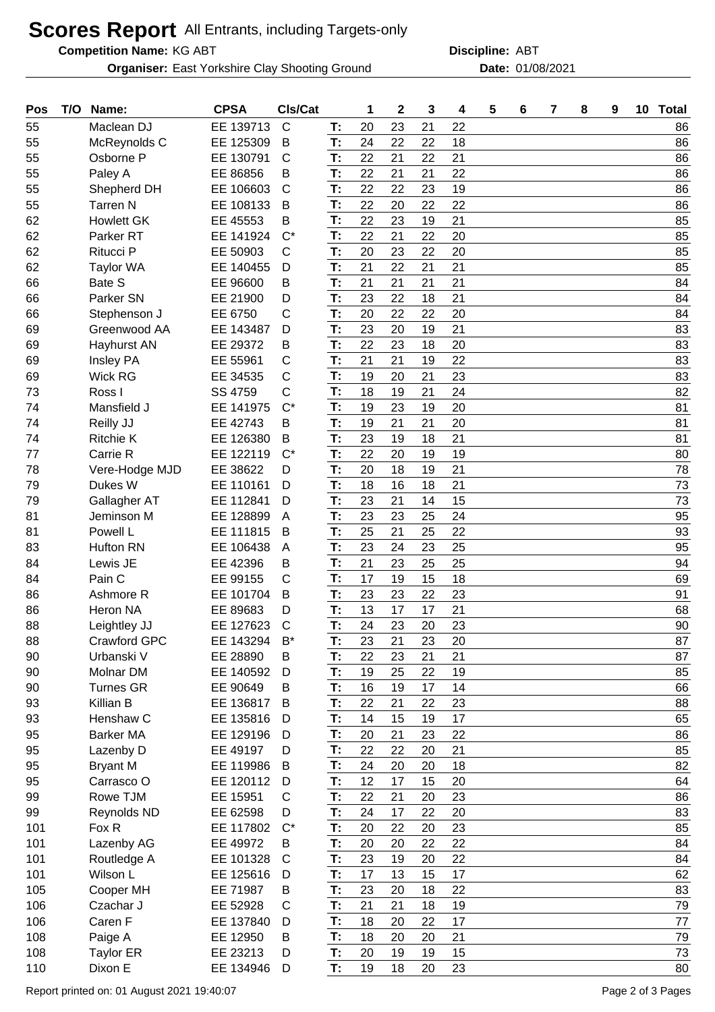## **Scores Report** All Entrants, including Targets-only

**Competition Name:**

**Organiser:** East Yorkshire Clay Shooting Ground **Date:** 01/08/2021

KG ABT ABT **Discipline:**

**Pos T/O Name: CPSA Cls/Cat 1 2 3 4 5 6 7 8 9 10 Total** Maclean DJ EE 139713 C **T:** 20 23 21 22 86 McReynolds C EE 125309 B **T:** 24 22 22 18 86 Osborne P EE 130791 C **T:** 22 21 22 21 86 Paley A EE 86856 B **T:** 22 21 21 22 86 Shepherd DH EE 106603 C **T:** 22 22 23 19 86 Tarren N EE 108133 B **T:** 22 20 22 22 86 Howlett GK EE 45553 B **T:** 22 23 19 21 85 Parker RT EE 141924 C\* **T:** 22 21 22 20 85 Ritucci P EE 50903 C **T:** 20 23 22 20 85 Taylor WA EE 140455 D **T:** 21 22 21 21 85 Bate S EE 96600 B **T:** 21 21 21 21 84 Parker SN EE 21900 D **T:** 23 22 18 21 84 Stephenson J EE 6750 C **T:** 20 22 22 20 84 Greenwood AA EE 143487 D **T:** 23 20 19 21 83 Hayhurst AN EE 29372 B **T:** 22 23 18 20 83 Insley PA EE 55961 C **T:** 21 21 19 22 83 Wick RG EE 34535 C **T:** 19 20 21 23 83 Ross I SS 4759 C **T:** 18 19 21 24 82 Mansfield J EE 141975 C\* **T:** 19 23 19 20 81 Reilly JJ EE 42743 B **T:** 19 21 21 20 81 Ritchie K EE 126380 B **T:** 23 19 18 21 81 Carrie R EE 122119 C\* **T:** 22 20 19 19 80 Vere-Hodge MJD EE 38622 D **T:** 20 18 19 21 78 Dukes W EE 110161 D **T:** 18 16 18 21 73 Gallagher AT EE 112841 D **T:** 23 21 14 15 73 Jeminson M EE 128899 A **T:** 23 23 25 24 95 Powell L EE 111815 B **T:** 25 21 25 22 93 Hufton RN EE 106438 A **T:** 23 24 23 25 95 Lewis JE EE 42396 B **T:** 21 23 25 25 94 Pain C EE 99155 C **T:** 17 19 15 18 69 Ashmore R EE 101704 B **T:** 23 23 22 23 91 Heron NA EE 89683 D **T:** 13 17 17 21 68 Leightley JJ EE 127623 C **T:** 24 23 20 23 90 Crawford GPC EE 143294 B\* **T:** 23 21 23 20 87 Urbanski V EE 28890 B **T:** 22 23 21 21 87 Molnar DM EE 140592 D **T:** 19 25 22 19 85 Turnes GR EE 90649 B **T:** 16 19 17 14 66 Killian B EE 136817 B **T:** 22 21 22 23 88 Henshaw C EE 135816 D **T:** 14 15 19 17 65 Barker MA EE 129196 D **T:** 20 21 23 22 86 Lazenby D EE 49197 D **T:** 22 22 20 21 85 Bryant M EE 119986 B **T:** 24 20 20 18 82 Carrasco O EE 120112 D **T:** 12 17 15 20 64 Rowe TJM EE 15951 C **T:** 22 21 20 23 86 Reynolds ND EE 62598 D **T:** 24 17 22 20 83 Fox R EE 117802 C\* **T:** 20 22 20 23 85 Lazenby AG EE 49972 B **T:** 20 20 22 22 84 Routledge A EE 101328 C **T:** 23 19 20 22 84 Wilson L EE 125616 D **T:** 17 13 15 17 62 Cooper MH EE 71987 B **T:** 23 20 18 22 83 Czachar J EE 52928 C **T:** 21 21 18 19 79 Caren F EE 137840 D **T:** 18 20 22 17 77 Paige A EE 12950 B **T:** 18 20 20 21 79 Taylor ER EE 23213 D **T:** 20 19 19 15 73 Dixon E EE 134946 D **T:** 19 18 20 23 80